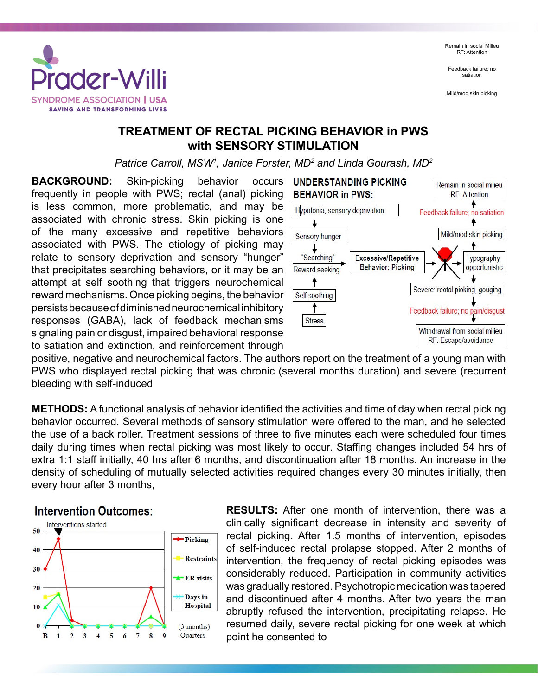Remain in social Milieu RF: Attention

Feedback failure; no satiation

Mild/mod skin picking



## **TREATMENT OF RECTAL PICKING BEHAVIOR in PWS with SENSORY STIMULATION**

*Patrice Carroll, MSW1 , Janice Forster, MD2 and Linda Gourash, MD2*

**BACKGROUND:** Skin-picking behavior occurs frequently in people with PWS; rectal (anal) picking is less common, more problematic, and may be associated with chronic stress. Skin picking is one of the many excessive and repetitive behaviors associated with PWS. The etiology of picking may relate to sensory deprivation and sensory "hunger" that precipitates searching behaviors, or it may be an attempt at self soothing that triggers neurochemical reward mechanisms. Once picking begins, the behavior persists because of diminished neurochemical inhibitory responses (GABA), lack of feedback mechanisms signaling pain or disgust, impaired behavioral response to satiation and extinction, and reinforcement through



positive, negative and neurochemical factors. The authors report on the treatment of a young man with PWS who displayed rectal picking that was chronic (several months duration) and severe (recurrent bleeding with self-induced

**METHODS:** A functional analysis of behavior identified the activities and time of day when rectal picking behavior occurred. Several methods of sensory stimulation were offered to the man, and he selected the use of a back roller. Treatment sessions of three to five minutes each were scheduled four times daily during times when rectal picking was most likely to occur. Staffing changes included 54 hrs of extra 1:1 staff initially, 40 hrs after 6 months, and discontinuation after 18 months. An increase in the density of scheduling of mutually selected activities required changes every 30 minutes initially, then every hour after 3 months,

## **Intervention Outcomes:**



**RESULTS:** After one month of intervention, there was a clinically significant decrease in intensity and severity of rectal picking. After 1.5 months of intervention, episodes of self-induced rectal prolapse stopped. After 2 months of intervention, the frequency of rectal picking episodes was considerably reduced. Participation in community activities was gradually restored. Psychotropic medication was tapered and discontinued after 4 months. After two years the man abruptly refused the intervention, precipitating relapse. He resumed daily, severe rectal picking for one week at which point he consented to